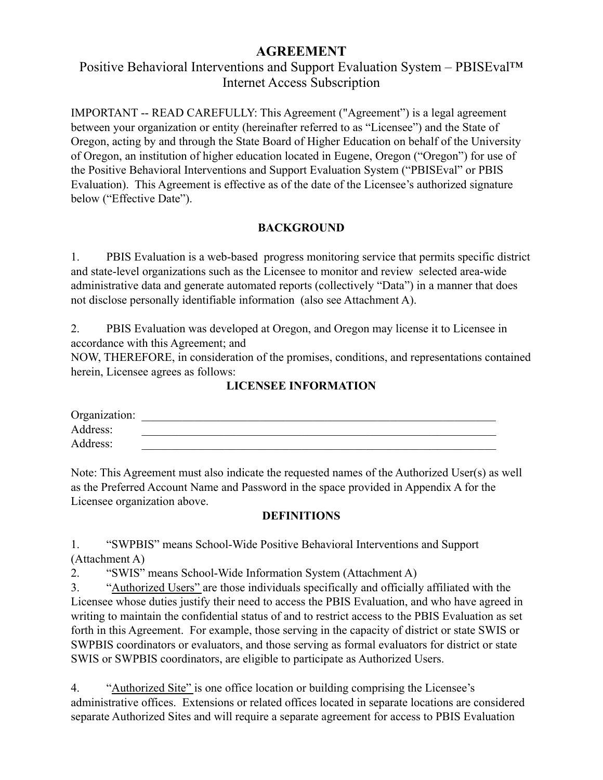# **AGREEMENT**

# Positive Behavioral Interventions and Support Evaluation System – PBISEval™ Internet Access Subscription

IMPORTANT -- READ CAREFULLY: This Agreement ("Agreement") is a legal agreement between your organization or entity (hereinafter referred to as "Licensee") and the State of Oregon, acting by and through the State Board of Higher Education on behalf of the University of Oregon, an institution of higher education located in Eugene, Oregon ("Oregon") for use of the Positive Behavioral Interventions and Support Evaluation System ("PBISEval" or PBIS Evaluation). This Agreement is effective as of the date of the Licensee's authorized signature below ("Effective Date").

# **BACKGROUND**

1. PBIS Evaluation is a web-based progress monitoring service that permits specific district and state-level organizations such as the Licensee to monitor and review selected area-wide administrative data and generate automated reports (collectively "Data") in a manner that does not disclose personally identifiable information (also see Attachment A).

2. PBIS Evaluation was developed at Oregon, and Oregon may license it to Licensee in accordance with this Agreement; and

NOW, THEREFORE, in consideration of the promises, conditions, and representations contained herein, Licensee agrees as follows:

# **LICENSEE INFORMATION**

| Organization: |  |  |  |
|---------------|--|--|--|
| Address:      |  |  |  |
| Address:      |  |  |  |

Note: This Agreement must also indicate the requested names of the Authorized User(s) as well as the Preferred Account Name and Password in the space provided in Appendix A for the Licensee organization above.

# **DEFINITIONS**

1. "SWPBIS" means School-Wide Positive Behavioral Interventions and Support (Attachment A)

2. "SWIS" means School-Wide Information System (Attachment A)

3. "Authorized Users" are those individuals specifically and officially affiliated with the Licensee whose duties justify their need to access the PBIS Evaluation, and who have agreed in writing to maintain the confidential status of and to restrict access to the PBIS Evaluation as set forth in this Agreement. For example, those serving in the capacity of district or state SWIS or SWPBIS coordinators or evaluators, and those serving as formal evaluators for district or state SWIS or SWPBIS coordinators, are eligible to participate as Authorized Users.

4. "Authorized Site" is one office location or building comprising the Licensee's administrative offices. Extensions or related offices located in separate locations are considered separate Authorized Sites and will require a separate agreement for access to PBIS Evaluation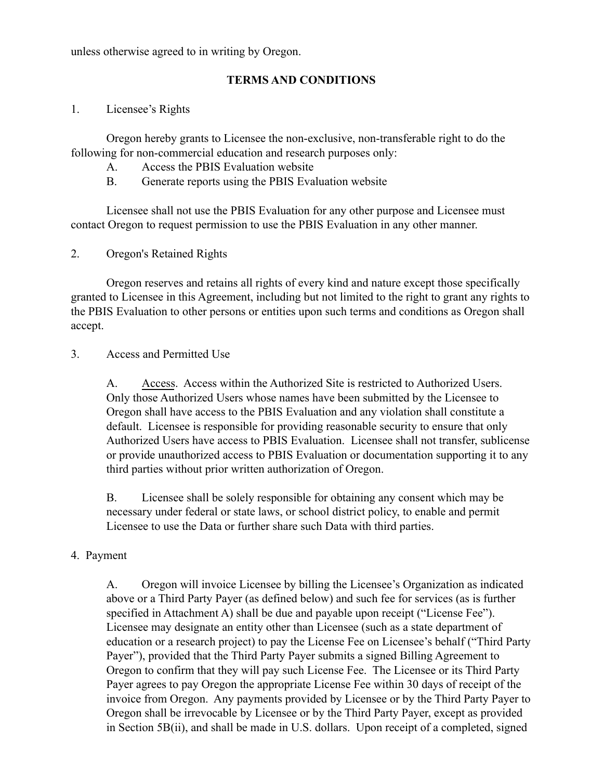unless otherwise agreed to in writing by Oregon.

## **TERMS AND CONDITIONS**

#### 1. Licensee's Rights

Oregon hereby grants to Licensee the non-exclusive, non-transferable right to do the following for non-commercial education and research purposes only:

- A. Access the PBIS Evaluation website
- B. Generate reports using the PBIS Evaluation website

Licensee shall not use the PBIS Evaluation for any other purpose and Licensee must contact Oregon to request permission to use the PBIS Evaluation in any other manner.

## 2. Oregon's Retained Rights

Oregon reserves and retains all rights of every kind and nature except those specifically granted to Licensee in this Agreement, including but not limited to the right to grant any rights to the PBIS Evaluation to other persons or entities upon such terms and conditions as Oregon shall accept.

## 3. Access and Permitted Use

A. Access. Access within the Authorized Site is restricted to Authorized Users. Only those Authorized Users whose names have been submitted by the Licensee to Oregon shall have access to the PBIS Evaluation and any violation shall constitute a default. Licensee is responsible for providing reasonable security to ensure that only Authorized Users have access to PBIS Evaluation. Licensee shall not transfer, sublicense or provide unauthorized access to PBIS Evaluation or documentation supporting it to any third parties without prior written authorization of Oregon.

B. Licensee shall be solely responsible for obtaining any consent which may be necessary under federal or state laws, or school district policy, to enable and permit Licensee to use the Data or further share such Data with third parties.

## 4. Payment

A. Oregon will invoice Licensee by billing the Licensee's Organization as indicated above or a Third Party Payer (as defined below) and such fee for services (as is further specified in Attachment A) shall be due and payable upon receipt ("License Fee"). Licensee may designate an entity other than Licensee (such as a state department of education or a research project) to pay the License Fee on Licensee's behalf ("Third Party Payer"), provided that the Third Party Payer submits a signed Billing Agreement to Oregon to confirm that they will pay such License Fee. The Licensee or its Third Party Payer agrees to pay Oregon the appropriate License Fee within 30 days of receipt of the invoice from Oregon. Any payments provided by Licensee or by the Third Party Payer to Oregon shall be irrevocable by Licensee or by the Third Party Payer, except as provided in Section 5B(ii), and shall be made in U.S. dollars. Upon receipt of a completed, signed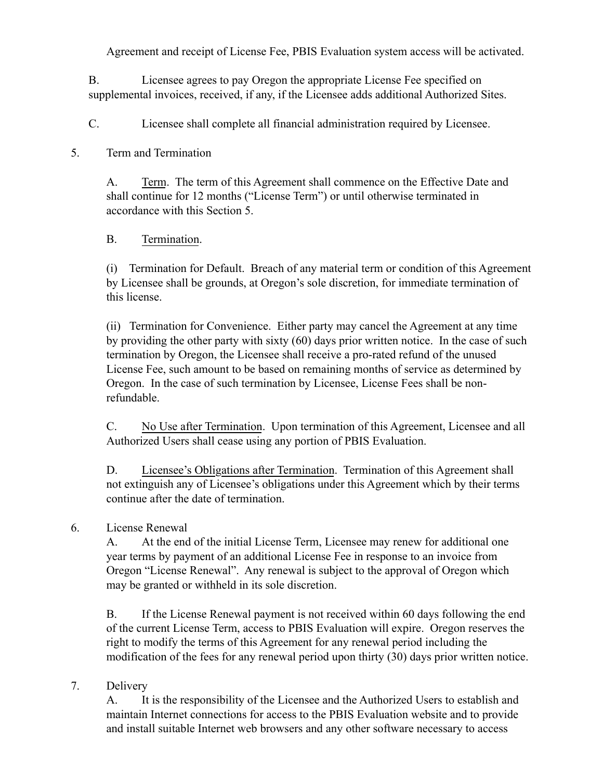Agreement and receipt of License Fee, PBIS Evaluation system access will be activated.

B. Licensee agrees to pay Oregon the appropriate License Fee specified on supplemental invoices, received, if any, if the Licensee adds additional Authorized Sites.

C. Licensee shall complete all financial administration required by Licensee.

# 5. Term and Termination

A. Term. The term of this Agreement shall commence on the Effective Date and shall continue for 12 months ("License Term") or until otherwise terminated in accordance with this Section 5.

# B. Termination.

(i) Termination for Default. Breach of any material term or condition of this Agreement by Licensee shall be grounds, at Oregon's sole discretion, for immediate termination of this license.

(ii) Termination for Convenience. Either party may cancel the Agreement at any time by providing the other party with sixty (60) days prior written notice. In the case of such termination by Oregon, the Licensee shall receive a pro-rated refund of the unused License Fee, such amount to be based on remaining months of service as determined by Oregon. In the case of such termination by Licensee, License Fees shall be nonrefundable.

C. No Use after Termination. Upon termination of this Agreement, Licensee and all Authorized Users shall cease using any portion of PBIS Evaluation.

D. Licensee's Obligations after Termination. Termination of this Agreement shall not extinguish any of Licensee's obligations under this Agreement which by their terms continue after the date of termination.

# 6. License Renewal

A. At the end of the initial License Term, Licensee may renew for additional one year terms by payment of an additional License Fee in response to an invoice from Oregon "License Renewal". Any renewal is subject to the approval of Oregon which may be granted or withheld in its sole discretion.

B. If the License Renewal payment is not received within 60 days following the end of the current License Term, access to PBIS Evaluation will expire. Oregon reserves the right to modify the terms of this Agreement for any renewal period including the modification of the fees for any renewal period upon thirty (30) days prior written notice.

# 7. Delivery

A. It is the responsibility of the Licensee and the Authorized Users to establish and maintain Internet connections for access to the PBIS Evaluation website and to provide and install suitable Internet web browsers and any other software necessary to access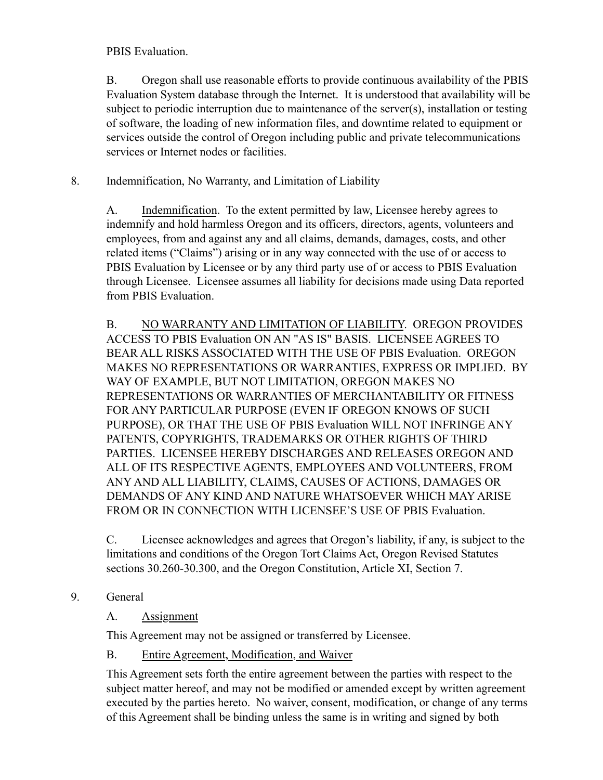PBIS Evaluation.

B. Oregon shall use reasonable efforts to provide continuous availability of the PBIS Evaluation System database through the Internet. It is understood that availability will be subject to periodic interruption due to maintenance of the server(s), installation or testing of software, the loading of new information files, and downtime related to equipment or services outside the control of Oregon including public and private telecommunications services or Internet nodes or facilities.

8. Indemnification, No Warranty, and Limitation of Liability

A. Indemnification. To the extent permitted by law, Licensee hereby agrees to indemnify and hold harmless Oregon and its officers, directors, agents, volunteers and employees, from and against any and all claims, demands, damages, costs, and other related items ("Claims") arising or in any way connected with the use of or access to PBIS Evaluation by Licensee or by any third party use of or access to PBIS Evaluation through Licensee. Licensee assumes all liability for decisions made using Data reported from PBIS Evaluation.

B. NO WARRANTY AND LIMITATION OF LIABILITY. OREGON PROVIDES ACCESS TO PBIS Evaluation ON AN "AS IS" BASIS. LICENSEE AGREES TO BEAR ALL RISKS ASSOCIATED WITH THE USE OF PBIS Evaluation. OREGON MAKES NO REPRESENTATIONS OR WARRANTIES, EXPRESS OR IMPLIED. BY WAY OF EXAMPLE, BUT NOT LIMITATION, OREGON MAKES NO REPRESENTATIONS OR WARRANTIES OF MERCHANTABILITY OR FITNESS FOR ANY PARTICULAR PURPOSE (EVEN IF OREGON KNOWS OF SUCH PURPOSE), OR THAT THE USE OF PBIS Evaluation WILL NOT INFRINGE ANY PATENTS, COPYRIGHTS, TRADEMARKS OR OTHER RIGHTS OF THIRD PARTIES. LICENSEE HEREBY DISCHARGES AND RELEASES OREGON AND ALL OF ITS RESPECTIVE AGENTS, EMPLOYEES AND VOLUNTEERS, FROM ANY AND ALL LIABILITY, CLAIMS, CAUSES OF ACTIONS, DAMAGES OR DEMANDS OF ANY KIND AND NATURE WHATSOEVER WHICH MAY ARISE FROM OR IN CONNECTION WITH LICENSEE'S USE OF PBIS Evaluation.

C. Licensee acknowledges and agrees that Oregon's liability, if any, is subject to the limitations and conditions of the Oregon Tort Claims Act, Oregon Revised Statutes sections 30.260-30.300, and the Oregon Constitution, Article XI, Section 7.

9. General

# A. Assignment

This Agreement may not be assigned or transferred by Licensee.

# B. Entire Agreement, Modification, and Waiver

This Agreement sets forth the entire agreement between the parties with respect to the subject matter hereof, and may not be modified or amended except by written agreement executed by the parties hereto. No waiver, consent, modification, or change of any terms of this Agreement shall be binding unless the same is in writing and signed by both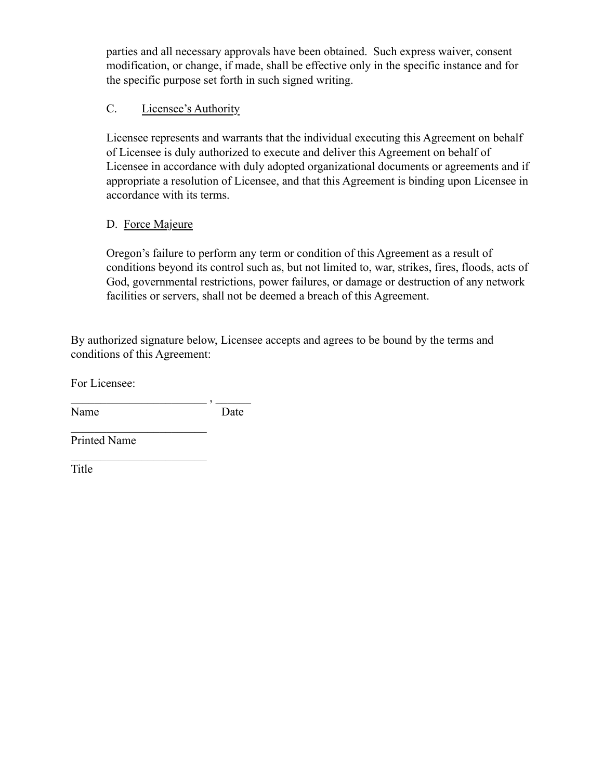parties and all necessary approvals have been obtained. Such express waiver, consent modification, or change, if made, shall be effective only in the specific instance and for the specific purpose set forth in such signed writing.

## C. Licensee's Authority

Licensee represents and warrants that the individual executing this Agreement on behalf of Licensee is duly authorized to execute and deliver this Agreement on behalf of Licensee in accordance with duly adopted organizational documents or agreements and if appropriate a resolution of Licensee, and that this Agreement is binding upon Licensee in accordance with its terms.

## D. Force Majeure

Oregon's failure to perform any term or condition of this Agreement as a result of conditions beyond its control such as, but not limited to, war, strikes, fires, floods, acts of God, governmental restrictions, power failures, or damage or destruction of any network facilities or servers, shall not be deemed a breach of this Agreement.

By authorized signature below, Licensee accepts and agrees to be bound by the terms and conditions of this Agreement:

For Licensee:

 $\overline{\phantom{a}}$  ,  $\overline{\phantom{a}}$  ,  $\overline{\phantom{a}}$  ,  $\overline{\phantom{a}}$  ,  $\overline{\phantom{a}}$  ,  $\overline{\phantom{a}}$  ,  $\overline{\phantom{a}}$  ,  $\overline{\phantom{a}}$  ,  $\overline{\phantom{a}}$  ,  $\overline{\phantom{a}}$  ,  $\overline{\phantom{a}}$  ,  $\overline{\phantom{a}}$  ,  $\overline{\phantom{a}}$  ,  $\overline{\phantom{a}}$  ,  $\overline{\phantom{a}}$  ,  $\overline{\phantom{a}}$ Name Date

 $\mathcal{L}_\text{max}$  , where  $\mathcal{L}_\text{max}$  , we are the set of the set of the set of the set of the set of the set of the set of the set of the set of the set of the set of the set of the set of the set of the set of the set of

 $\mathcal{L}_\text{max}$  , where  $\mathcal{L}_\text{max}$  , we are the set of the set of the set of the set of the set of the set of the set of the set of the set of the set of the set of the set of the set of the set of the set of the set of

Printed Name

Title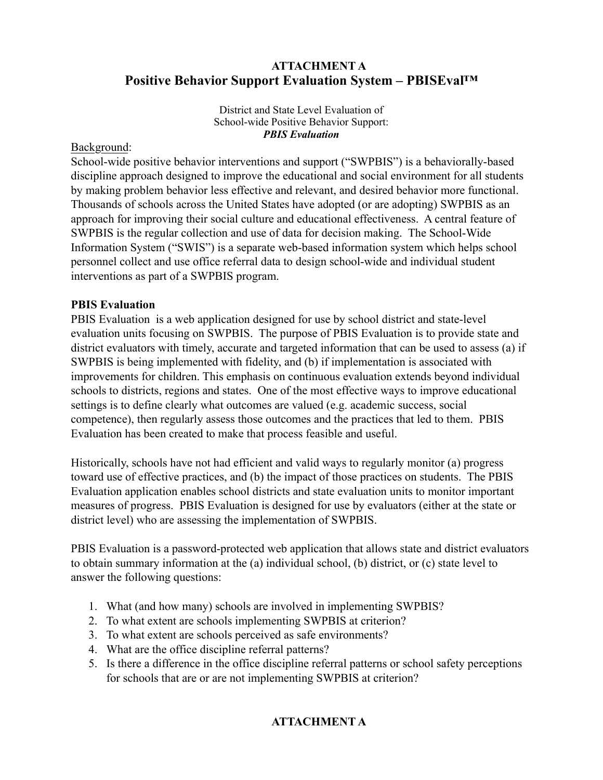# **ATTACHMENT A Positive Behavior Support Evaluation System – PBISEval™**

District and State Level Evaluation of School-wide Positive Behavior Support: *PBIS Evaluation*

#### Background:

School-wide positive behavior interventions and support ("SWPBIS") is a behaviorally-based discipline approach designed to improve the educational and social environment for all students by making problem behavior less effective and relevant, and desired behavior more functional. Thousands of schools across the United States have adopted (or are adopting) SWPBIS as an approach for improving their social culture and educational effectiveness. A central feature of SWPBIS is the regular collection and use of data for decision making. The School-Wide Information System ("SWIS") is a separate web-based information system which helps school personnel collect and use office referral data to design school-wide and individual student interventions as part of a SWPBIS program.

## **PBIS Evaluation**

PBIS Evaluation is a web application designed for use by school district and state-level evaluation units focusing on SWPBIS. The purpose of PBIS Evaluation is to provide state and district evaluators with timely, accurate and targeted information that can be used to assess (a) if SWPBIS is being implemented with fidelity, and (b) if implementation is associated with improvements for children. This emphasis on continuous evaluation extends beyond individual schools to districts, regions and states. One of the most effective ways to improve educational settings is to define clearly what outcomes are valued (e.g. academic success, social competence), then regularly assess those outcomes and the practices that led to them. PBIS Evaluation has been created to make that process feasible and useful.

Historically, schools have not had efficient and valid ways to regularly monitor (a) progress toward use of effective practices, and (b) the impact of those practices on students. The PBIS Evaluation application enables school districts and state evaluation units to monitor important measures of progress. PBIS Evaluation is designed for use by evaluators (either at the state or district level) who are assessing the implementation of SWPBIS.

PBIS Evaluation is a password-protected web application that allows state and district evaluators to obtain summary information at the (a) individual school, (b) district, or (c) state level to answer the following questions:

- 1. What (and how many) schools are involved in implementing SWPBIS?
- 2. To what extent are schools implementing SWPBIS at criterion?
- 3. To what extent are schools perceived as safe environments?
- 4. What are the office discipline referral patterns?
- 5. Is there a difference in the office discipline referral patterns or school safety perceptions for schools that are or are not implementing SWPBIS at criterion?

# **ATTACHMENT A**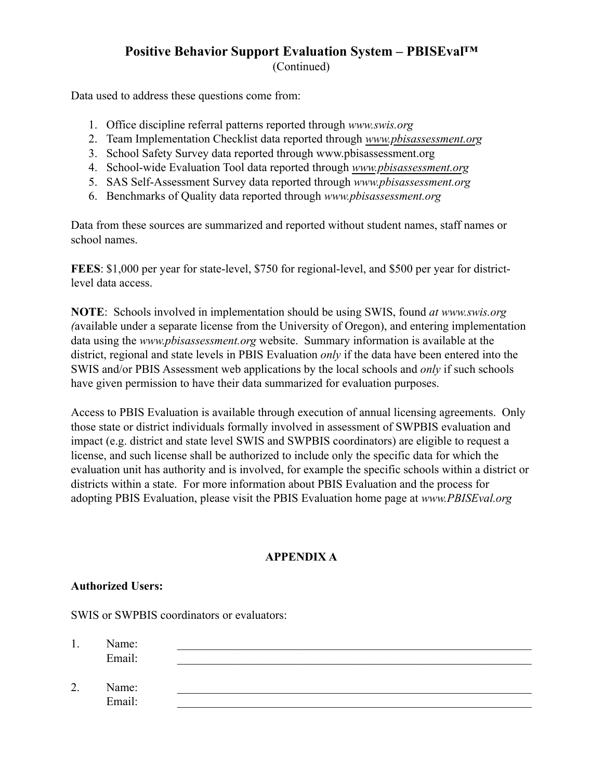## **Positive Behavior Support Evaluation System – PBISEval™** (Continued)

Data used to address these questions come from:

- 1. Office discipline referral patterns reported through *www.swis.org*
- 2. Team Implementation Checklist data reported through *[www.pbisassessment.org](http://www.pbisassessment.org)*
- 3. School Safety Survey data reported through www.pbisassessment.org
- 4. School-wide Evaluation Tool data reported through *[www.pbisassessment.org](http://www.pbisassessment.org)*
- 5. SAS Self-Assessment Survey data reported through *www.pbisassessment.org*
- 6. Benchmarks of Quality data reported through *www.pbisassessment.org*

Data from these sources are summarized and reported without student names, staff names or school names.

**FEES**: \$1,000 per year for state-level, \$750 for regional-level, and \$500 per year for districtlevel data access.

**NOTE**: Schools involved in implementation should be using SWIS, found *at www.swis.org (*available under a separate license from the University of Oregon), and entering implementation data using the *www.pbisassessment.org* website. Summary information is available at the district, regional and state levels in PBIS Evaluation *only* if the data have been entered into the SWIS and/or PBIS Assessment web applications by the local schools and *only* if such schools have given permission to have their data summarized for evaluation purposes.

Access to PBIS Evaluation is available through execution of annual licensing agreements. Only those state or district individuals formally involved in assessment of SWPBIS evaluation and impact (e.g. district and state level SWIS and SWPBIS coordinators) are eligible to request a license, and such license shall be authorized to include only the specific data for which the evaluation unit has authority and is involved, for example the specific schools within a district or districts within a state. For more information about PBIS Evaluation and the process for adopting PBIS Evaluation, please visit the PBIS Evaluation home page at *www.PBISEval.org*

## **APPENDIX A**

#### **Authorized Users:**

SWIS or SWPBIS coordinators or evaluators:

| .,              | Name:<br>Email: |  |  |
|-----------------|-----------------|--|--|
| $\bigcap$<br>∠. | Name:<br>Email: |  |  |